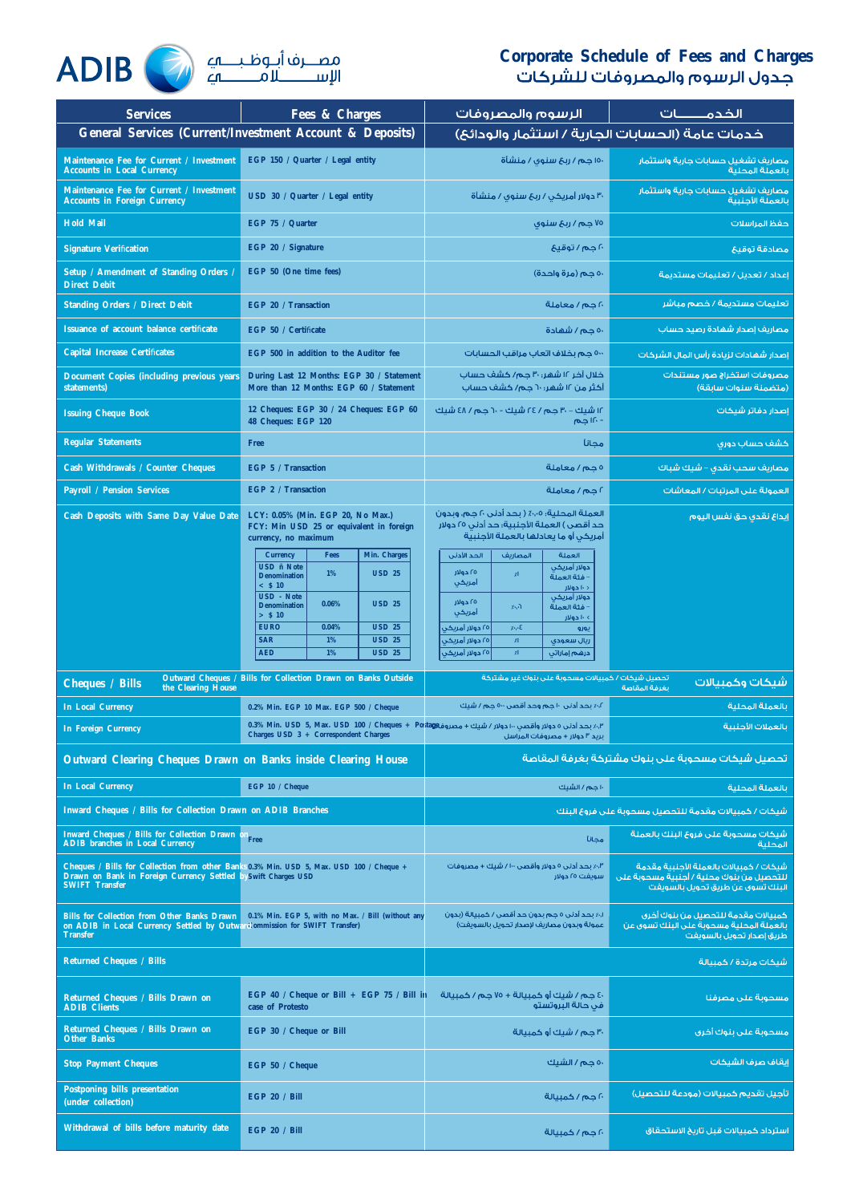## **Corporate Schedule of Fees and Charges**



| <b>Services</b>                                                                                                                                                                     | Fees & Charges                                                                                                                                                                                                                                                                                                                   | الرسوم والمصروفات                                                                                                                                                                                                                                                                                                                              | الخدمـــــــــات                                                                                                         |
|-------------------------------------------------------------------------------------------------------------------------------------------------------------------------------------|----------------------------------------------------------------------------------------------------------------------------------------------------------------------------------------------------------------------------------------------------------------------------------------------------------------------------------|------------------------------------------------------------------------------------------------------------------------------------------------------------------------------------------------------------------------------------------------------------------------------------------------------------------------------------------------|--------------------------------------------------------------------------------------------------------------------------|
|                                                                                                                                                                                     | <b>General Services (Current/Investment Account &amp; Deposits)</b>                                                                                                                                                                                                                                                              | خدمات عامة (الحسابات الجارية / استثمار والودائع)                                                                                                                                                                                                                                                                                               |                                                                                                                          |
| Maintenance Fee for Current / Investment<br><b>Accounts in Local Currency</b>                                                                                                       | EGP 150 / Quarter / Legal entity                                                                                                                                                                                                                                                                                                 | ۱۵۰ جم / ربح سنوی / منشأة                                                                                                                                                                                                                                                                                                                      | مصاريف تشغيل حسابات جارية واستثمار<br>بالعملة المحلية                                                                    |
| Maintenance Fee for Current / Investment<br><b>Accounts in Foreign Currency</b>                                                                                                     | USD 30 / Quarter / Legal entity                                                                                                                                                                                                                                                                                                  | ۳۰ دولار أمریکی / ربع سنوی / منشأة                                                                                                                                                                                                                                                                                                             | مصاريف تشغيل حسابات جارية واستثمار<br>بالعملة الأحنبية                                                                   |
| <b>Hold Mail</b>                                                                                                                                                                    | EGP 75 / Quarter                                                                                                                                                                                                                                                                                                                 | ۷۵ جم / ربځ سنوی                                                                                                                                                                                                                                                                                                                               | حفظ المراسلات                                                                                                            |
| <b>Signature Verification</b>                                                                                                                                                       | EGP 20 / Signature                                                                                                                                                                                                                                                                                                               | ٢٠ جم / توقيع                                                                                                                                                                                                                                                                                                                                  | مصادقة توقيع                                                                                                             |
| Setup / Amendment of Standing Orders /<br><b>Direct Debit</b>                                                                                                                       | EGP 50 (One time fees)                                                                                                                                                                                                                                                                                                           | ٥٠ حم (مرة واحدة)                                                                                                                                                                                                                                                                                                                              | إعداد / تعديل / تعليمات مستديمة                                                                                          |
| <b>Standing Orders / Direct Debit</b>                                                                                                                                               | EGP 20 / Transaction                                                                                                                                                                                                                                                                                                             | ٢٠ جم / معاملة                                                                                                                                                                                                                                                                                                                                 | تعليمات مستديمة / خصم مباشر                                                                                              |
| Issuance of account balance certificate                                                                                                                                             | EGP 50 / Certificate                                                                                                                                                                                                                                                                                                             | ٥٠ جم/شهادة                                                                                                                                                                                                                                                                                                                                    | مصاريف إصدار شهادة رصيد حساب                                                                                             |
| <b>Capital Increase Certificates</b>                                                                                                                                                | EGP 500 in addition to the Auditor fee                                                                                                                                                                                                                                                                                           | ٥٠٠ جم بخلاف اتعاب مراقب الحسابات                                                                                                                                                                                                                                                                                                              | إصدار شهادات لزبادة رأس المال الشركات                                                                                    |
| <b>Document Copies (including previous years)</b><br>statements)                                                                                                                    | During Last 12 Months: EGP 30 / Statement<br>More than 12 Months: EGP 60 / Statement                                                                                                                                                                                                                                             | خلال آخر ۱۲ شهر؛ ۳۰ حـم/ کشف حساب<br>أكثر من ١٢ شهر: ٦٠ حـم/ كشف حساب                                                                                                                                                                                                                                                                          | مصروفات استخراج صور مستندات<br>(متضمنة سنوات سابقة)                                                                      |
| <b>Issuing Cheque Book</b>                                                                                                                                                          | 12 Cheques: EGP 30 / 24 Cheques: EGP 60<br>48 Cheques: EGP 120                                                                                                                                                                                                                                                                   | ۱۲ شیك - ۳۰ جم / ۲٤ شیك - ٦٠ جم / ٤٨ شیك<br>- ١٢٠ جم                                                                                                                                                                                                                                                                                           | إصدار دفاتر شيكات                                                                                                        |
| <b>Regular Statements</b>                                                                                                                                                           | <b>Free</b>                                                                                                                                                                                                                                                                                                                      | مجانآ                                                                                                                                                                                                                                                                                                                                          | كشف حساب دورى                                                                                                            |
| <b>Cash Withdrawals / Counter Cheques</b>                                                                                                                                           | EGP 5 / Transaction                                                                                                                                                                                                                                                                                                              | ةلعاملة معاملة                                                                                                                                                                                                                                                                                                                                 | مصاريف سحب نقدى – شيك شباك                                                                                               |
| <b>Payroll / Pension Services</b>                                                                                                                                                   | EGP 2 / Transaction                                                                                                                                                                                                                                                                                                              | أجم/معاملة                                                                                                                                                                                                                                                                                                                                     | العمولة على المرتبات / المعاشات                                                                                          |
| Cash Deposits with Same Day Value Date                                                                                                                                              | LCY: 0.05% (Min. EGP 20, No Max.)<br>FCY: Min USD 25 or equivalent in foreign<br>currency, no maximum                                                                                                                                                                                                                            | العملة المحلية؛ ٥٠,٠٪ ( بحد أدنن ٢٠ جم، وبدون<br>حد أقصى ) العملة الأجنبية؛ حد أدنى ٢٥ دولار<br>أمريكن أو ما يعادلها بالعملة الأجنبية                                                                                                                                                                                                          | إيداع نقدى حق نفس اليوم                                                                                                  |
|                                                                                                                                                                                     | Min. Charges<br><b>Currency</b><br><b>Fees</b><br><b>USD</b> ñ Note<br><b>USD 25</b><br>1%<br><b>Denomination</b><br>< S10<br><b>USD</b> - Note<br>0.06%<br><b>USD 25</b><br><b>Denomination</b><br>$>$ \$ 10<br><b>EURO</b><br>0.04%<br><b>USD 25</b><br><b>SAR</b><br>1%<br><b>USD 25</b><br><b>AED</b><br>1%<br><b>USD 25</b> | الحد الأدنى<br>العملة<br>المصاريف<br>ادولار أمريكن<br>۲۵ دولار<br>$\chi$<br>– فئة العملة<br>أمريكن<br>د ۱۰ خولار<br>دولار أمريكن<br>۲۵ دولار<br>– فئة العملة<br>z <sub>2</sub><br>أمريكن<br>> ۱۰ خولار<br>٢٥ دولار أمريكى<br>7.5.5<br>يورو<br>٢٥ دولار أمريكى<br>$\chi\Gamma$<br>ريال سعودى<br>٢٥ دولار أمريكن<br>$\chi\Gamma$<br>درهم إماراتن |                                                                                                                          |
| <b>Cheques / Bills</b>                                                                                                                                                              | Outward Cheques / Bills for Collection Drawn on Banks Outside                                                                                                                                                                                                                                                                    | تحصيل شيكات / كمبيالات مسحوبة على بنوك غير مشتركة                                                                                                                                                                                                                                                                                              | شىكات وكمىبالات                                                                                                          |
| the Clearing House<br><b>In Local Currency</b>                                                                                                                                      | 0.2% Min. EGP 10 Max. EGP 500 / Cheque                                                                                                                                                                                                                                                                                           | ٢٫٪ بحد آدني ١٠ جم وحد آقصي ٥٠٠ جم / شيك                                                                                                                                                                                                                                                                                                       | بغرفة المقاصة<br>بالعملة المحلبة                                                                                         |
| <b>In Foreign Currency</b>                                                                                                                                                          | Charges USD 3 + Correspondent Charges                                                                                                                                                                                                                                                                                            | 0.3% Min. USD 5, Max. USD 100 / Cheques + Postaget مصروفا الكرومي + 0.3% Min. USD 5, Max. USD 100 / Cheques +<br>بريد ٣ دولار + مصروفات المراسل                                                                                                                                                                                                | بالعملات الأحنبية                                                                                                        |
| Outward Clearing Cheques Drawn on Banks inside Clearing House                                                                                                                       |                                                                                                                                                                                                                                                                                                                                  |                                                                                                                                                                                                                                                                                                                                                | تحصيل شيكات مسحوبة على بنوك مشتركة بغرفة المقاصة                                                                         |
| <b>In Local Currency</b>                                                                                                                                                            | EGP 10 / Cheque                                                                                                                                                                                                                                                                                                                  | ١٠ جم / الشيك                                                                                                                                                                                                                                                                                                                                  | بالعملة المحلبة                                                                                                          |
| Inward Cheques / Bills for Collection Drawn on ADIB Branches                                                                                                                        |                                                                                                                                                                                                                                                                                                                                  |                                                                                                                                                                                                                                                                                                                                                | شيكات / كمبيالات مقدمة للتحصيل مسحوبة على فروع البنك                                                                     |
| Inward Cheques / Bills for Collection Drawn of<br><b>ADIB</b> branches in Local Currency                                                                                            | Free                                                                                                                                                                                                                                                                                                                             | محانآ                                                                                                                                                                                                                                                                                                                                          | شيكات مسحوبة على فروع البنك بالعملة<br>المحلبة                                                                           |
| Cheques / Bills for Collection from other Banks 0.3% Min. USD 5, Max. USD 100 / Cheque +<br>Drawn on Bank in Foreign Currency Settled by Swift Charges USD<br><b>SWIFT Transfer</b> |                                                                                                                                                                                                                                                                                                                                  | ٣٫٪ بحد أدنى ٥ دولار وأقصى ١٠٠ / شيك + مصروفات<br>سويغت ٢٥ دولار                                                                                                                                                                                                                                                                               | شىكات / كمسالات بالعملة الأحنبية مقدمة<br>للتحصيل من بنوك محلية / أجنبية مسحوبة على<br>البنك تسوى عن طريق تحويل بالسويفت |
| <b>Bills for Collection from Other Banks Drawn</b><br>on ADIB in Local Currency Settled by Outward Commission for SWIFT Transfer)<br><b>Transfer</b>                                | 0.1% Min. EGP 5, with no Max. / Bill (without any                                                                                                                                                                                                                                                                                | ١٠٨ بحد أدنى ٥ حم بدون حد أقصى / كمبيالة (بدون<br>عمولة وبدون مصاريف لإصدار تحويل بالسويغت)                                                                                                                                                                                                                                                    | كمبيالات مقدمة للتحصيل من بنوك أخرى<br>بالعملة المحلبة مسحوبة على البنك تسوى عن<br>طريق إصدار تحويل بالسويغت             |
| <b>Returned Cheques / Bills</b>                                                                                                                                                     |                                                                                                                                                                                                                                                                                                                                  |                                                                                                                                                                                                                                                                                                                                                | شىكات مرتدة / كمسالة                                                                                                     |
| Returned Cheques / Bills Drawn on<br><b>ADIB Clients</b>                                                                                                                            | case of Protesto                                                                                                                                                                                                                                                                                                                 | $EGP$ 40 / Cheque or Bill + EGP 75 / Bill in = دوم / كمبيالة + ٧٥ حص / كمبيالة + ١٥ هـ / ٥٩ عـ ص / ٢٠<br>في حالة البروتستو                                                                                                                                                                                                                     | مسحوبة على مصرفنا                                                                                                        |
| Returned Cheques / Bills Drawn on<br><b>Other Banks</b>                                                                                                                             | EGP 30 / Cheque or Bill                                                                                                                                                                                                                                                                                                          | ٣٠ جم / شيك أو كمبيالة                                                                                                                                                                                                                                                                                                                         | مسحوبة على ينوك أخرى                                                                                                     |
| <b>Stop Payment Cheques</b>                                                                                                                                                         | EGP 50 / Cheque                                                                                                                                                                                                                                                                                                                  | ٥٠ جم / الشيك                                                                                                                                                                                                                                                                                                                                  | انقاف صرف الشيكات                                                                                                        |
| <b>Postponing bills presentation</b><br>(under collection)                                                                                                                          | <b>EGP 20 / Bill</b>                                                                                                                                                                                                                                                                                                             | ۲۰ جم / کمبیالة                                                                                                                                                                                                                                                                                                                                | تأجيل تقديم كمبيالات (مودعة للتحصيل)                                                                                     |
| Withdrawal of bills before maturity date                                                                                                                                            | <b>EGP 20 / Bill</b>                                                                                                                                                                                                                                                                                                             | ٢٠ جم / جمسالة                                                                                                                                                                                                                                                                                                                                 | استرداد كمبيالات قبل تاريخ الاستحقاق                                                                                     |